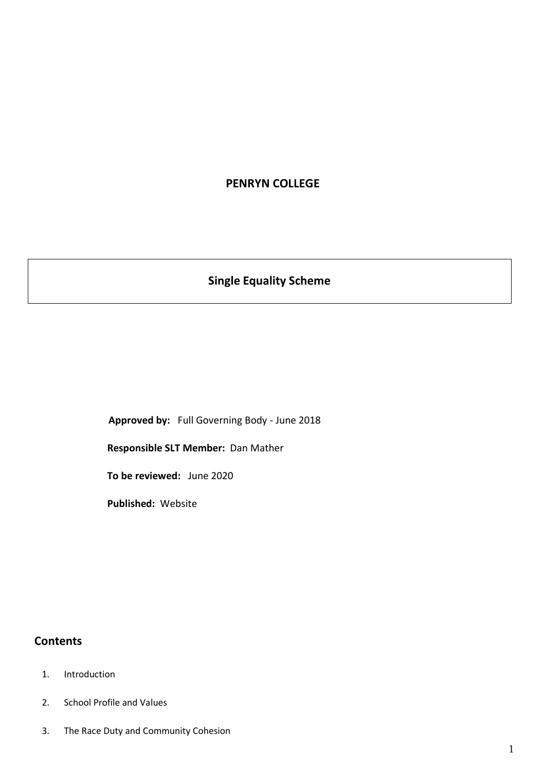## **PENRYN COLLEGE**

# **Single Equality Scheme**

**Approved by:** Full Governing Body - June 2018

**Responsible SLT Member:** Dan Mather

**To be reviewed:** June 2020

**Published:** Website

## **Contents**

- 1. Introduction
- 2. School Profile and Values
- 3. The Race Duty and Community Cohesion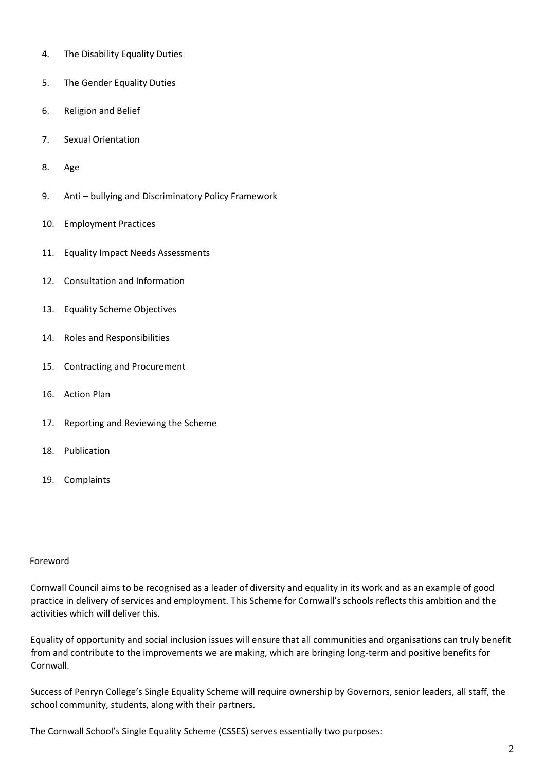- 4. The Disability Equality Duties
- 5. The Gender Equality Duties
- 6. Religion and Belief
- 7. Sexual Orientation
- 8. Age
- 9. Anti bullying and Discriminatory Policy Framework
- 10. Employment Practices
- 11. Equality Impact Needs Assessments
- 12. Consultation and Information
- 13. Equality Scheme Objectives
- 14. Roles and Responsibilities
- 15. Contracting and Procurement
- 16. Action Plan
- 17. Reporting and Reviewing the Scheme
- 18. Publication
- 19. Complaints

#### Foreword

Cornwall Council aims to be recognised as a leader of diversity and equality in its work and as an example of good practice in delivery of services and employment. This Scheme for Cornwall's schools reflects this ambition and the activities which will deliver this.

Equality of opportunity and social inclusion issues will ensure that all communities and organisations can truly benefit from and contribute to the improvements we are making, which are bringing long-term and positive benefits for Cornwall.

Success of Penryn College's Single Equality Scheme will require ownership by Governors, senior leaders, all staff, the school community, students, along with their partners.

The Cornwall School's Single Equality Scheme (CSSES) serves essentially two purposes: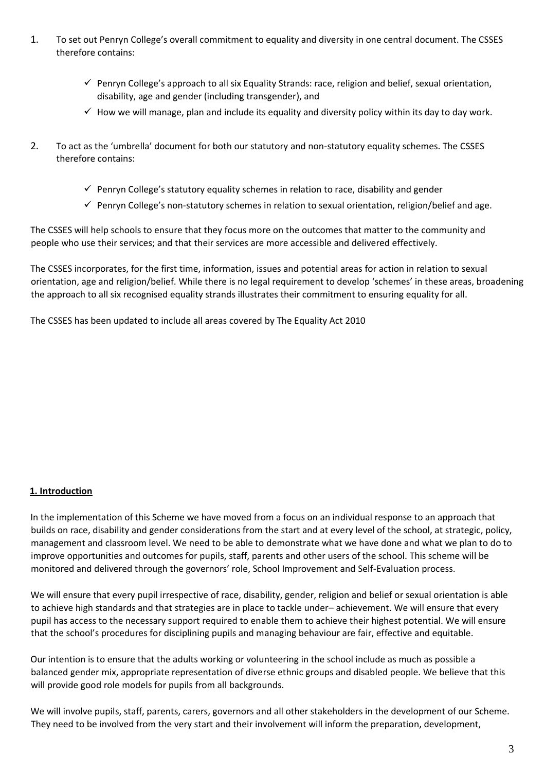- 1. To set out Penryn College's overall commitment to equality and diversity in one central document. The CSSES therefore contains:
	- $\checkmark$  Penryn College's approach to all six Equality Strands: race, religion and belief, sexual orientation, disability, age and gender (including transgender), and
	- $\checkmark$  How we will manage, plan and include its equality and diversity policy within its day to day work.
- 2. To act as the 'umbrella' document for both our statutory and non-statutory equality schemes. The CSSES therefore contains:
	- $\checkmark$  Penryn College's statutory equality schemes in relation to race, disability and gender
	- $\checkmark$  Penryn College's non-statutory schemes in relation to sexual orientation, religion/belief and age.

The CSSES will help schools to ensure that they focus more on the outcomes that matter to the community and people who use their services; and that their services are more accessible and delivered effectively.

The CSSES incorporates, for the first time, information, issues and potential areas for action in relation to sexual orientation, age and religion/belief. While there is no legal requirement to develop 'schemes' in these areas, broadening the approach to all six recognised equality strands illustrates their commitment to ensuring equality for all.

The CSSES has been updated to include all areas covered by The Equality Act 2010

#### **1. Introduction**

In the implementation of this Scheme we have moved from a focus on an individual response to an approach that builds on race, disability and gender considerations from the start and at every level of the school, at strategic, policy, management and classroom level. We need to be able to demonstrate what we have done and what we plan to do to improve opportunities and outcomes for pupils, staff, parents and other users of the school. This scheme will be monitored and delivered through the governors' role, School Improvement and Self-Evaluation process.

We will ensure that every pupil irrespective of race, disability, gender, religion and belief or sexual orientation is able to achieve high standards and that strategies are in place to tackle under– achievement. We will ensure that every pupil has access to the necessary support required to enable them to achieve their highest potential. We will ensure that the school's procedures for disciplining pupils and managing behaviour are fair, effective and equitable.

Our intention is to ensure that the adults working or volunteering in the school include as much as possible a balanced gender mix, appropriate representation of diverse ethnic groups and disabled people. We believe that this will provide good role models for pupils from all backgrounds.

We will involve pupils, staff, parents, carers, governors and all other stakeholders in the development of our Scheme. They need to be involved from the very start and their involvement will inform the preparation, development,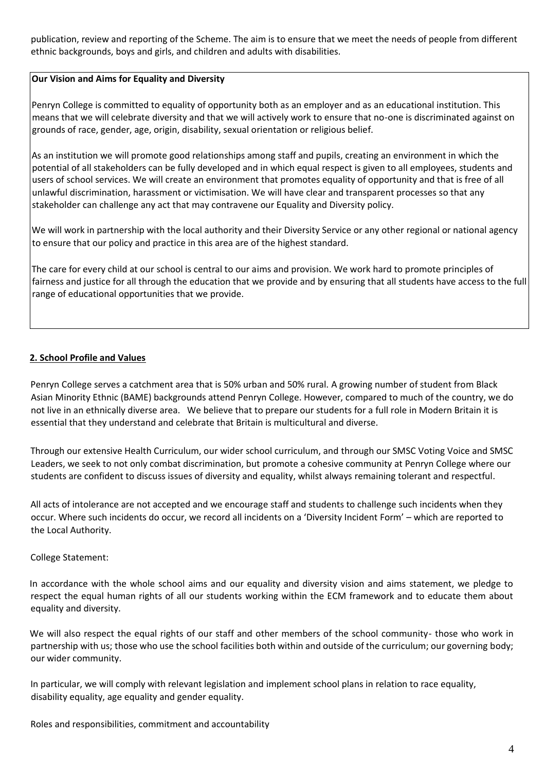publication, review and reporting of the Scheme. The aim is to ensure that we meet the needs of people from different ethnic backgrounds, boys and girls, and children and adults with disabilities.

#### **Our Vision and Aims for Equality and Diversity**

Penryn College is committed to equality of opportunity both as an employer and as an educational institution. This means that we will celebrate diversity and that we will actively work to ensure that no-one is discriminated against on grounds of race, gender, age, origin, disability, sexual orientation or religious belief.

As an institution we will promote good relationships among staff and pupils, creating an environment in which the potential of all stakeholders can be fully developed and in which equal respect is given to all employees, students and users of school services. We will create an environment that promotes equality of opportunity and that is free of all unlawful discrimination, harassment or victimisation. We will have clear and transparent processes so that any stakeholder can challenge any act that may contravene our Equality and Diversity policy.

We will work in partnership with the local authority and their Diversity Service or any other regional or national agency to ensure that our policy and practice in this area are of the highest standard.

The care for every child at our school is central to our aims and provision. We work hard to promote principles of fairness and justice for all through the education that we provide and by ensuring that all students have access to the full range of educational opportunities that we provide.

#### **2. School Profile and Values**

Penryn College serves a catchment area that is 50% urban and 50% rural. A growing number of student from Black Asian Minority Ethnic (BAME) backgrounds attend Penryn College. However, compared to much of the country, we do not live in an ethnically diverse area. We believe that to prepare our students for a full role in Modern Britain it is essential that they understand and celebrate that Britain is multicultural and diverse.

Through our extensive Health Curriculum, our wider school curriculum, and through our SMSC Voting Voice and SMSC Leaders, we seek to not only combat discrimination, but promote a cohesive community at Penryn College where our students are confident to discuss issues of diversity and equality, whilst always remaining tolerant and respectful.

All acts of intolerance are not accepted and we encourage staff and students to challenge such incidents when they occur. Where such incidents do occur, we record all incidents on a 'Diversity Incident Form' – which are reported to the Local Authority.

#### College Statement:

In accordance with the whole school aims and our equality and diversity vision and aims statement, we pledge to respect the equal human rights of all our students working within the ECM framework and to educate them about equality and diversity.

We will also respect the equal rights of our staff and other members of the school community- those who work in partnership with us; those who use the school facilities both within and outside of the curriculum; our governing body; our wider community.

In particular, we will comply with relevant legislation and implement school plans in relation to race equality, disability equality, age equality and gender equality.

Roles and responsibilities, commitment and accountability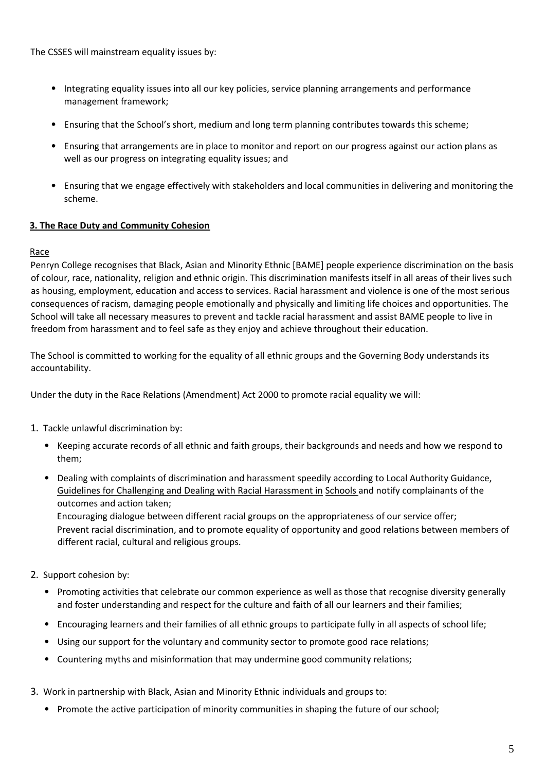The CSSES will mainstream equality issues by:

- Integrating equality issues into all our key policies, service planning arrangements and performance management framework;
- Ensuring that the School's short, medium and long term planning contributes towards this scheme;
- Ensuring that arrangements are in place to monitor and report on our progress against our action plans as well as our progress on integrating equality issues; and
- Ensuring that we engage effectively with stakeholders and local communities in delivering and monitoring the scheme.

#### **3. The Race Duty and Community Cohesion**

#### Race

Penryn College recognises that Black, Asian and Minority Ethnic [BAME] people experience discrimination on the basis of colour, race, nationality, religion and ethnic origin. This discrimination manifests itself in all areas of their lives such as housing, employment, education and access to services. Racial harassment and violence is one of the most serious consequences of racism, damaging people emotionally and physically and limiting life choices and opportunities. The School will take all necessary measures to prevent and tackle racial harassment and assist BAME people to live in freedom from harassment and to feel safe as they enjoy and achieve throughout their education.

The School is committed to working for the equality of all ethnic groups and the Governing Body understands its accountability.

Under the duty in the Race Relations (Amendment) Act 2000 to promote racial equality we will:

- 1. Tackle unlawful discrimination by:
	- Keeping accurate records of all ethnic and faith groups, their backgrounds and needs and how we respond to them;
	- Dealing with complaints of discrimination and harassment speedily according to Local Authority Guidance, Guidelines for Challenging and Dealing with Racial Harassment in Schools and notify complainants of the outcomes and action taken;

Encouraging dialogue between different racial groups on the appropriateness of our service offer; Prevent racial discrimination, and to promote equality of opportunity and good relations between members of different racial, cultural and religious groups.

- 2. Support cohesion by:
	- Promoting activities that celebrate our common experience as well as those that recognise diversity generally and foster understanding and respect for the culture and faith of all our learners and their families;
	- Encouraging learners and their families of all ethnic groups to participate fully in all aspects of school life;
	- Using our support for the voluntary and community sector to promote good race relations;
	- Countering myths and misinformation that may undermine good community relations;
- 3. Work in partnership with Black, Asian and Minority Ethnic individuals and groups to:
	- Promote the active participation of minority communities in shaping the future of our school;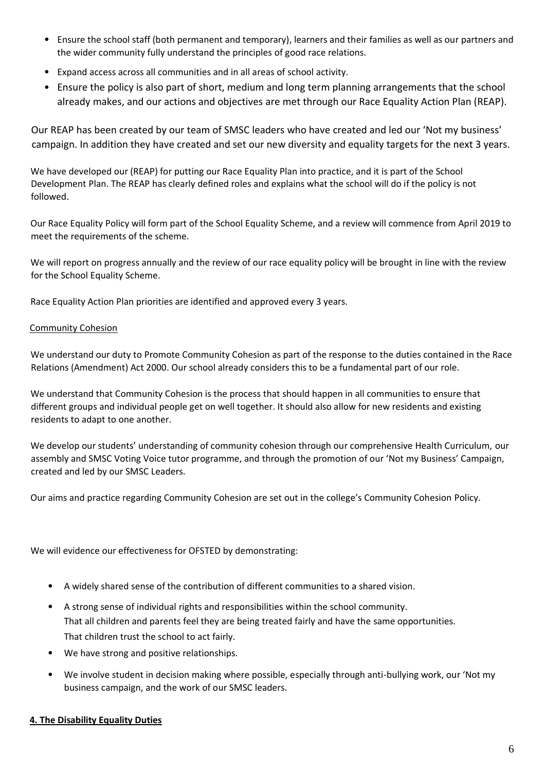- Ensure the school staff (both permanent and temporary), learners and their families as well as our partners and the wider community fully understand the principles of good race relations.
- Expand access across all communities and in all areas of school activity.
- Ensure the policy is also part of short, medium and long term planning arrangements that the school already makes, and our actions and objectives are met through our Race Equality Action Plan (REAP).

Our REAP has been created by our team of SMSC leaders who have created and led our 'Not my business' campaign. In addition they have created and set our new diversity and equality targets for the next 3 years.

We have developed our (REAP) for putting our Race Equality Plan into practice, and it is part of the School Development Plan. The REAP has clearly defined roles and explains what the school will do if the policy is not followed.

Our Race Equality Policy will form part of the School Equality Scheme, and a review will commence from April 2019 to meet the requirements of the scheme.

We will report on progress annually and the review of our race equality policy will be brought in line with the review for the School Equality Scheme.

Race Equality Action Plan priorities are identified and approved every 3 years.

### Community Cohesion

We understand our duty to Promote Community Cohesion as part of the response to the duties contained in the Race Relations (Amendment) Act 2000. Our school already considers this to be a fundamental part of our role.

We understand that Community Cohesion is the process that should happen in all communities to ensure that different groups and individual people get on well together. It should also allow for new residents and existing residents to adapt to one another.

We develop our students' understanding of community cohesion through our comprehensive Health Curriculum, our assembly and SMSC Voting Voice tutor programme, and through the promotion of our 'Not my Business' Campaign, created and led by our SMSC Leaders.

Our aims and practice regarding Community Cohesion are set out in the college's Community Cohesion Policy.

We will evidence our effectiveness for OFSTED by demonstrating:

- A widely shared sense of the contribution of different communities to a shared vision.
- A strong sense of individual rights and responsibilities within the school community. That all children and parents feel they are being treated fairly and have the same opportunities. That children trust the school to act fairly.
- We have strong and positive relationships.
- We involve student in decision making where possible, especially through anti-bullying work, our 'Not my business campaign, and the work of our SMSC leaders.

#### **4. The Disability Equality Duties**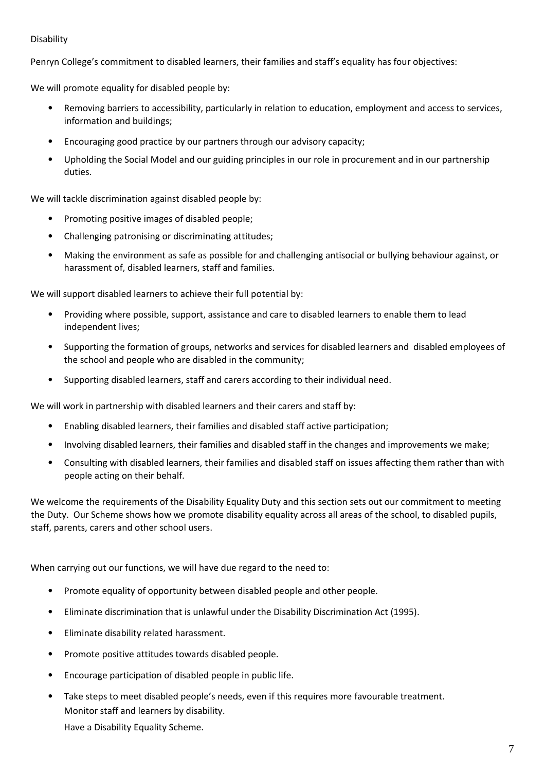#### Disability

Penryn College's commitment to disabled learners, their families and staff's equality has four objectives:

We will promote equality for disabled people by:

- Removing barriers to accessibility, particularly in relation to education, employment and access to services, information and buildings;
- Encouraging good practice by our partners through our advisory capacity;
- Upholding the Social Model and our guiding principles in our role in procurement and in our partnership duties.

We will tackle discrimination against disabled people by:

- Promoting positive images of disabled people;
- Challenging patronising or discriminating attitudes;
- Making the environment as safe as possible for and challenging antisocial or bullying behaviour against, or harassment of, disabled learners, staff and families.

We will support disabled learners to achieve their full potential by:

- Providing where possible, support, assistance and care to disabled learners to enable them to lead independent lives;
- Supporting the formation of groups, networks and services for disabled learners and disabled employees of the school and people who are disabled in the community;
- Supporting disabled learners, staff and carers according to their individual need.

We will work in partnership with disabled learners and their carers and staff by:

- Enabling disabled learners, their families and disabled staff active participation;
- Involving disabled learners, their families and disabled staff in the changes and improvements we make;
- Consulting with disabled learners, their families and disabled staff on issues affecting them rather than with people acting on their behalf.

We welcome the requirements of the Disability Equality Duty and this section sets out our commitment to meeting the Duty. Our Scheme shows how we promote disability equality across all areas of the school, to disabled pupils, staff, parents, carers and other school users.

When carrying out our functions, we will have due regard to the need to:

- Promote equality of opportunity between disabled people and other people.
- Eliminate discrimination that is unlawful under the Disability Discrimination Act (1995).
- Eliminate disability related harassment.
- Promote positive attitudes towards disabled people.
- Encourage participation of disabled people in public life.
- Take steps to meet disabled people's needs, even if this requires more favourable treatment. Monitor staff and learners by disability. Have a Disability Equality Scheme.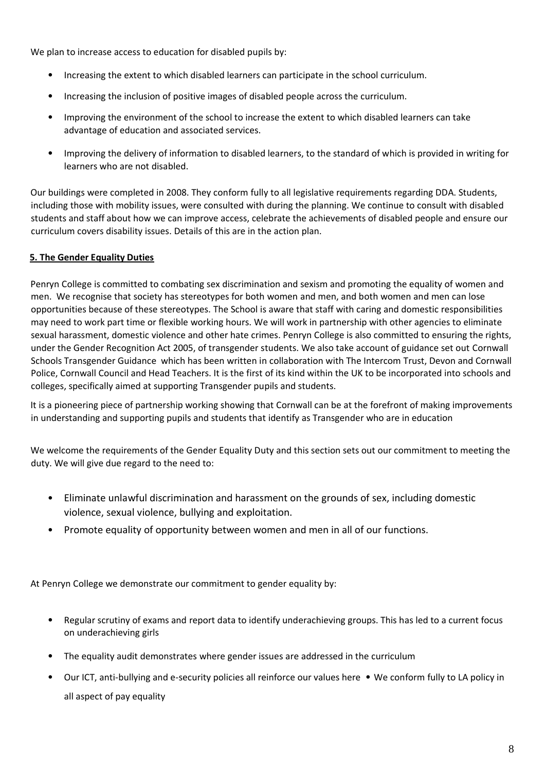We plan to increase access to education for disabled pupils by:

- Increasing the extent to which disabled learners can participate in the school curriculum.
- Increasing the inclusion of positive images of disabled people across the curriculum.
- Improving the environment of the school to increase the extent to which disabled learners can take advantage of education and associated services.
- Improving the delivery of information to disabled learners, to the standard of which is provided in writing for learners who are not disabled.

Our buildings were completed in 2008. They conform fully to all legislative requirements regarding DDA. Students, including those with mobility issues, were consulted with during the planning. We continue to consult with disabled students and staff about how we can improve access, celebrate the achievements of disabled people and ensure our curriculum covers disability issues. Details of this are in the action plan.

#### **5. The Gender Equality Duties**

Penryn College is committed to combating sex discrimination and sexism and promoting the equality of women and men. We recognise that society has stereotypes for both women and men, and both women and men can lose opportunities because of these stereotypes. The School is aware that staff with caring and domestic responsibilities may need to work part time or flexible working hours. We will work in partnership with other agencies to eliminate sexual harassment, domestic violence and other hate crimes. Penryn College is also committed to ensuring the rights, under the Gender Recognition Act 2005, of transgender students. We also take account of guidance set out [Cornwall](https://www.cornwall.gov.uk/media/13620644/schools-transgender_guidance_booklet-2015.pdf)  [Schools Transgender Guidance w](https://www.cornwall.gov.uk/media/13620644/schools-transgender_guidance_booklet-2015.pdf)hich has been written in collaboration with The Intercom Trust, Devon and Cornwall Police, Cornwall Council and Head Teachers. It is the first of its kind within the UK to be incorporated into schools and colleges, specifically aimed at supporting Transgender pupils and students.

It is a pioneering piece of partnership working showing that Cornwall can be at the forefront of making improvements in understanding and supporting pupils and students that identify as Transgender who are in education

We welcome the requirements of the Gender Equality Duty and this section sets out our commitment to meeting the duty. We will give due regard to the need to:

- Eliminate unlawful discrimination and harassment on the grounds of sex, including domestic violence, sexual violence, bullying and exploitation.
- Promote equality of opportunity between women and men in all of our functions.

At Penryn College we demonstrate our commitment to gender equality by:

- Regular scrutiny of exams and report data to identify underachieving groups. This has led to a current focus on underachieving girls
- The equality audit demonstrates where gender issues are addressed in the curriculum
- Our ICT, anti-bullying and e-security policies all reinforce our values here We conform fully to LA policy in all aspect of pay equality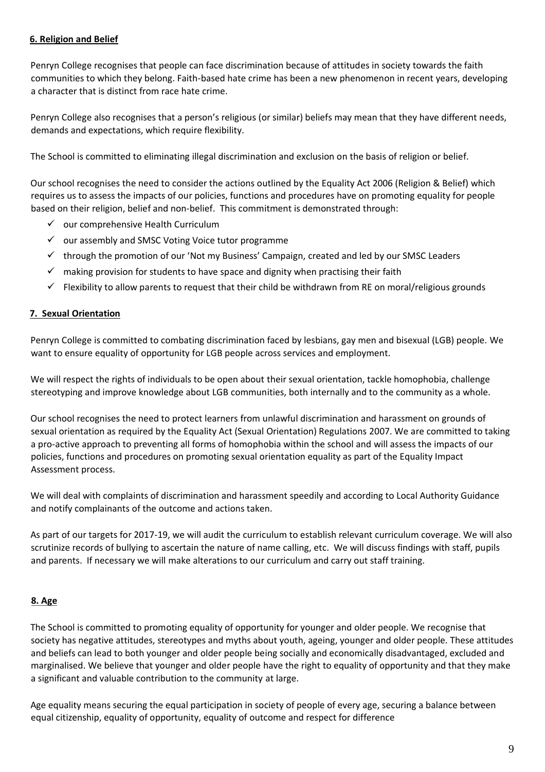#### **6. Religion and Belief**

Penryn College recognises that people can face discrimination because of attitudes in society towards the faith communities to which they belong. Faith-based hate crime has been a new phenomenon in recent years, developing a character that is distinct from race hate crime.

Penryn College also recognises that a person's religious (or similar) beliefs may mean that they have different needs, demands and expectations, which require flexibility.

The School is committed to eliminating illegal discrimination and exclusion on the basis of religion or belief.

Our school recognises the need to consider the actions outlined by the Equality Act 2006 (Religion & Belief) which requires us to assess the impacts of our policies, functions and procedures have on promoting equality for people based on their religion, belief and non-belief. This commitment is demonstrated through:

- $\checkmark$  our comprehensive Health Curriculum
- ✓ our assembly and SMSC Voting Voice tutor programme
- $\checkmark$  through the promotion of our 'Not my Business' Campaign, created and led by our SMSC Leaders
- $\checkmark$  making provision for students to have space and dignity when practising their faith
- $\checkmark$  Flexibility to allow parents to request that their child be withdrawn from RE on moral/religious grounds

#### **7. Sexual Orientation**

Penryn College is committed to combating discrimination faced by lesbians, gay men and bisexual (LGB) people. We want to ensure equality of opportunity for LGB people across services and employment.

We will respect the rights of individuals to be open about their sexual orientation, tackle homophobia, challenge stereotyping and improve knowledge about LGB communities, both internally and to the community as a whole.

Our school recognises the need to protect learners from unlawful discrimination and harassment on grounds of sexual orientation as required by the Equality Act (Sexual Orientation) Regulations 2007. We are committed to taking a pro-active approach to preventing all forms of homophobia within the school and will assess the impacts of our policies, functions and procedures on promoting sexual orientation equality as part of the Equality Impact Assessment process.

We will deal with complaints of discrimination and harassment speedily and according to Local Authority Guidance and notify complainants of the outcome and actions taken.

As part of our targets for 2017-19, we will audit the curriculum to establish relevant curriculum coverage. We will also scrutinize records of bullying to ascertain the nature of name calling, etc. We will discuss findings with staff, pupils and parents. If necessary we will make alterations to our curriculum and carry out staff training.

#### **8. Age**

The School is committed to promoting equality of opportunity for younger and older people. We recognise that society has negative attitudes, stereotypes and myths about youth, ageing, younger and older people. These attitudes and beliefs can lead to both younger and older people being socially and economically disadvantaged, excluded and marginalised. We believe that younger and older people have the right to equality of opportunity and that they make a significant and valuable contribution to the community at large.

Age equality means securing the equal participation in society of people of every age, securing a balance between equal citizenship, equality of opportunity, equality of outcome and respect for difference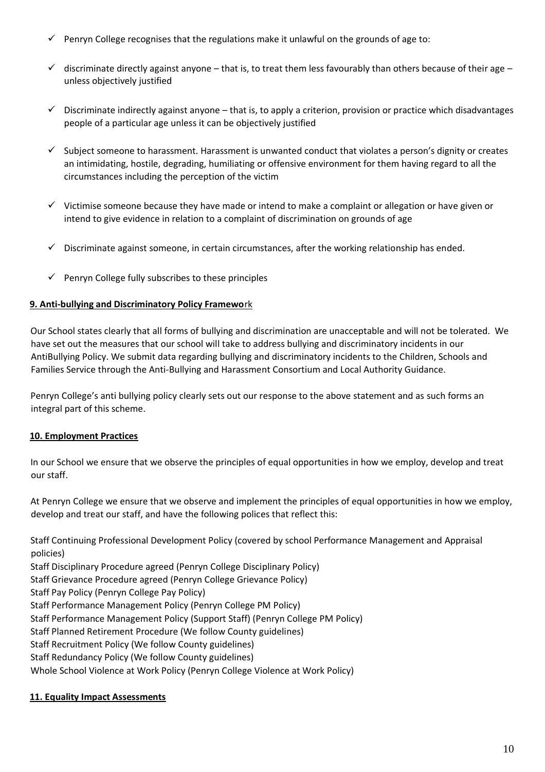- $\checkmark$  Penryn College recognises that the regulations make it unlawful on the grounds of age to:
- $\checkmark$  discriminate directly against anyone that is, to treat them less favourably than others because of their age unless objectively justified
- $\checkmark$  Discriminate indirectly against anyone that is, to apply a criterion, provision or practice which disadvantages people of a particular age unless it can be objectively justified
- ✓ Subject someone to harassment. Harassment is unwanted conduct that violates a person's dignity or creates an intimidating, hostile, degrading, humiliating or offensive environment for them having regard to all the circumstances including the perception of the victim
- $\checkmark$  Victimise someone because they have made or intend to make a complaint or allegation or have given or intend to give evidence in relation to a complaint of discrimination on grounds of age
- $\checkmark$  Discriminate against someone, in certain circumstances, after the working relationship has ended.
- $\checkmark$  Penryn College fully subscribes to these principles

#### **9. Anti-bullying and Discriminatory Policy Framewo**rk

Our School states clearly that all forms of bullying and discrimination are unacceptable and will not be tolerated. We have set out the measures that our school will take to address bullying and discriminatory incidents in our AntiBullying Policy. We submit data regarding bullying and discriminatory incidents to the Children, Schools and Families Service through the Anti-Bullying and Harassment Consortium and Local Authority Guidance.

Penryn College's anti bullying policy clearly sets out our response to the above statement and as such forms an integral part of this scheme.

#### **10. Employment Practices**

In our School we ensure that we observe the principles of equal opportunities in how we employ, develop and treat our staff.

At Penryn College we ensure that we observe and implement the principles of equal opportunities in how we employ, develop and treat our staff, and have the following polices that reflect this:

Staff Continuing Professional Development Policy (covered by school Performance Management and Appraisal policies)

Staff Disciplinary Procedure agreed (Penryn College Disciplinary Policy)

Staff Grievance Procedure agreed (Penryn College Grievance Policy)

Staff Pay Policy (Penryn College Pay Policy)

Staff Performance Management Policy (Penryn College PM Policy)

Staff Performance Management Policy (Support Staff) (Penryn College PM Policy)

Staff Planned Retirement Procedure (We follow County guidelines)

Staff Recruitment Policy (We follow County guidelines)

Staff Redundancy Policy (We follow County guidelines)

Whole School Violence at Work Policy (Penryn College Violence at Work Policy)

## **11. Equality Impact Assessments**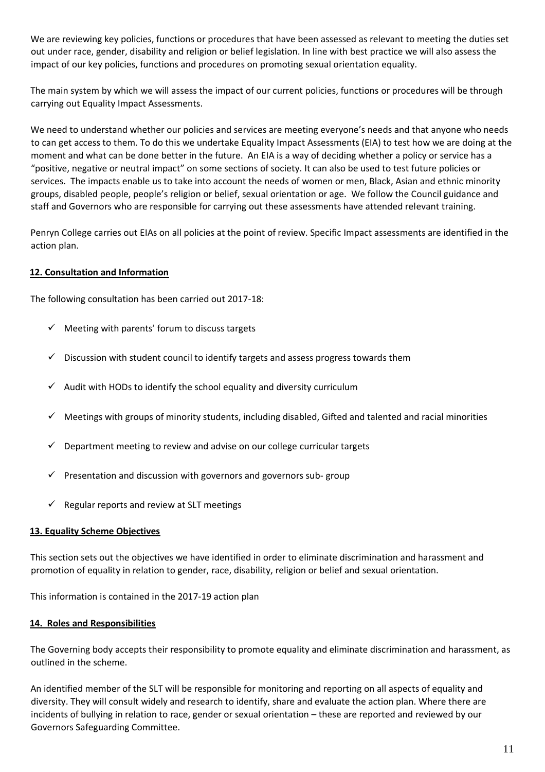We are reviewing key policies, functions or procedures that have been assessed as relevant to meeting the duties set out under race, gender, disability and religion or belief legislation. In line with best practice we will also assess the impact of our key policies, functions and procedures on promoting sexual orientation equality.

The main system by which we will assess the impact of our current policies, functions or procedures will be through carrying out Equality Impact Assessments.

We need to understand whether our policies and services are meeting everyone's needs and that anyone who needs to can get access to them. To do this we undertake Equality Impact Assessments (EIA) to test how we are doing at the moment and what can be done better in the future. An EIA is a way of deciding whether a policy or service has a "positive, negative or neutral impact" on some sections of society. It can also be used to test future policies or services. The impacts enable us to take into account the needs of women or men, Black, Asian and ethnic minority groups, disabled people, people's religion or belief, sexual orientation or age. We follow the Council guidance and staff and Governors who are responsible for carrying out these assessments have attended relevant training.

Penryn College carries out EIAs on all policies at the point of review. Specific Impact assessments are identified in the action plan.

#### **12. Consultation and Information**

The following consultation has been carried out 2017-18:

- $\checkmark$  Meeting with parents' forum to discuss targets
- $\checkmark$  Discussion with student council to identify targets and assess progress towards them
- $\checkmark$  Audit with HODs to identify the school equality and diversity curriculum
- $\checkmark$  Meetings with groups of minority students, including disabled, Gifted and talented and racial minorities
- Department meeting to review and advise on our college curricular targets
- $\checkmark$  Presentation and discussion with governors and governors sub-group
- $\checkmark$  Regular reports and review at SLT meetings

#### **13. Equality Scheme Objectives**

This section sets out the objectives we have identified in order to eliminate discrimination and harassment and promotion of equality in relation to gender, race, disability, religion or belief and sexual orientation.

This information is contained in the 2017-19 action plan

#### **14. Roles and Responsibilities**

The Governing body accepts their responsibility to promote equality and eliminate discrimination and harassment, as outlined in the scheme.

An identified member of the SLT will be responsible for monitoring and reporting on all aspects of equality and diversity. They will consult widely and research to identify, share and evaluate the action plan. Where there are incidents of bullying in relation to race, gender or sexual orientation – these are reported and reviewed by our Governors Safeguarding Committee.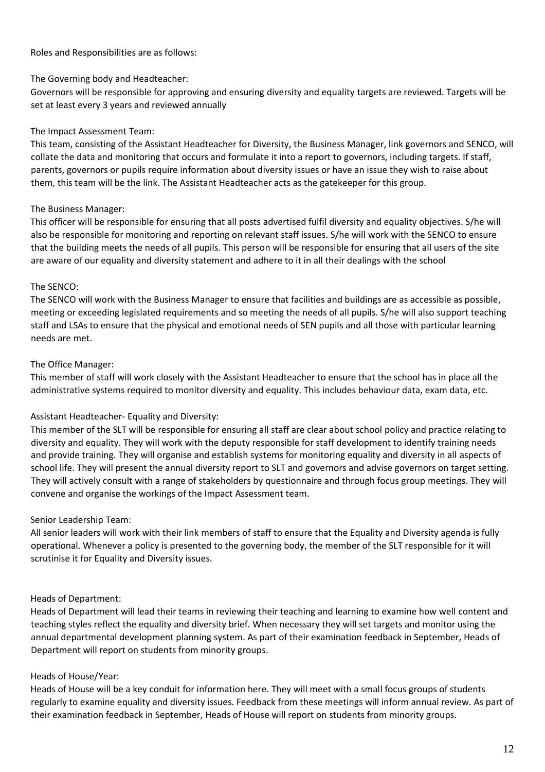Roles and Responsibilities are as follows:

#### The Governing body and Headteacher:

Governors will be responsible for approving and ensuring diversity and equality targets are reviewed. Targets will be set at least every 3 years and reviewed annually

### The Impact Assessment Team:

This team, consisting of the Assistant Headteacher for Diversity, the Business Manager, link governors and SENCO, will collate the data and monitoring that occurs and formulate it into a report to governors, including targets. If staff, parents, governors or pupils require information about diversity issues or have an issue they wish to raise about them, this team will be the link. The Assistant Headteacher acts as the gatekeeper for this group.

### The Business Manager:

This officer will be responsible for ensuring that all posts advertised fulfil diversity and equality objectives. S/he will also be responsible for monitoring and reporting on relevant staff issues. S/he will work with the SENCO to ensure that the building meets the needs of all pupils. This person will be responsible for ensuring that all users of the site are aware of our equality and diversity statement and adhere to it in all their dealings with the school

### The SENCO:

The SENCO will work with the Business Manager to ensure that facilities and buildings are as accessible as possible, meeting or exceeding legislated requirements and so meeting the needs of all pupils. S/he will also support teaching staff and LSAs to ensure that the physical and emotional needs of SEN pupils and all those with particular learning needs are met.

### The Office Manager:

This member of staff will work closely with the Assistant Headteacher to ensure that the school has in place all the administrative systems required to monitor diversity and equality. This includes behaviour data, exam data, etc.

#### Assistant Headteacher- Equality and Diversity:

This member of the SLT will be responsible for ensuring all staff are clear about school policy and practice relating to diversity and equality. They will work with the deputy responsible for staff development to identify training needs and provide training. They will organise and establish systems for monitoring equality and diversity in all aspects of school life. They will present the annual diversity report to SLT and governors and advise governors on target setting. They will actively consult with a range of stakeholders by questionnaire and through focus group meetings. They will convene and organise the workings of the Impact Assessment team.

#### Senior Leadership Team:

All senior leaders will work with their link members of staff to ensure that the Equality and Diversity agenda is fully operational. Whenever a policy is presented to the governing body, the member of the SLT responsible for it will scrutinise it for Equality and Diversity issues.

#### Heads of Department:

Heads of Department will lead their teams in reviewing their teaching and learning to examine how well content and teaching styles reflect the equality and diversity brief. When necessary they will set targets and monitor using the annual departmental development planning system. As part of their examination feedback in September, Heads of Department will report on students from minority groups.

#### Heads of House/Year:

Heads of House will be a key conduit for information here. They will meet with a small focus groups of students regularly to examine equality and diversity issues. Feedback from these meetings will inform annual review. As part of their examination feedback in September, Heads of House will report on students from minority groups.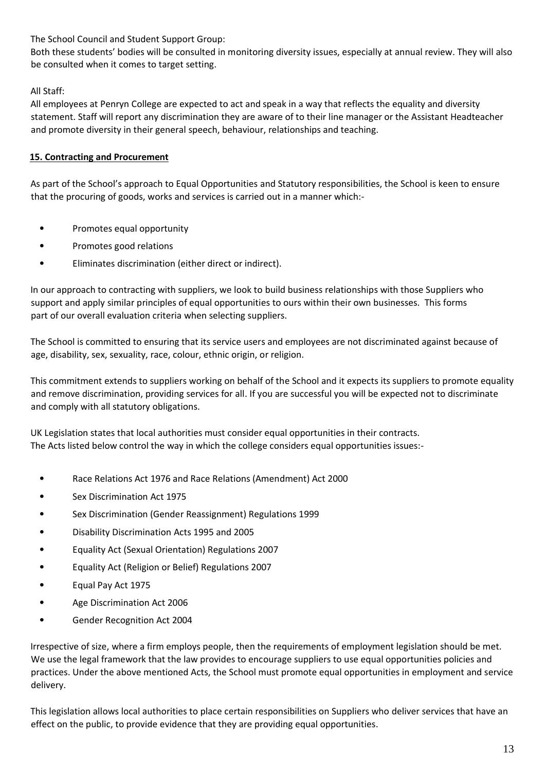The School Council and Student Support Group:

Both these students' bodies will be consulted in monitoring diversity issues, especially at annual review. They will also be consulted when it comes to target setting.

## All Staff:

All employees at Penryn College are expected to act and speak in a way that reflects the equality and diversity statement. Staff will report any discrimination they are aware of to their line manager or the Assistant Headteacher and promote diversity in their general speech, behaviour, relationships and teaching.

## **15. Contracting and Procurement**

As part of the School's approach to Equal Opportunities and Statutory responsibilities, the School is keen to ensure that the procuring of goods, works and services is carried out in a manner which:-

- Promotes equal opportunity
- Promotes good relations
- Eliminates discrimination (either direct or indirect).

In our approach to contracting with suppliers, we look to build business relationships with those Suppliers who support and apply similar principles of equal opportunities to ours within their own businesses. This forms part of our overall evaluation criteria when selecting suppliers.

The School is committed to ensuring that its service users and employees are not discriminated against because of age, disability, sex, sexuality, race, colour, ethnic origin, or religion.

This commitment extends to suppliers working on behalf of the School and it expects its suppliers to promote equality and remove discrimination, providing services for all. If you are successful you will be expected not to discriminate and comply with all statutory obligations.

UK Legislation states that local authorities must consider equal opportunities in their contracts. The Acts listed below control the way in which the college considers equal opportunities issues:-

- Race Relations Act 1976 and Race Relations (Amendment) Act 2000
- Sex Discrimination Act 1975
- Sex Discrimination (Gender Reassignment) Regulations 1999
- Disability Discrimination Acts 1995 and 2005
- Equality Act (Sexual Orientation) Regulations 2007
- Equality Act (Religion or Belief) Regulations 2007
- Equal Pay Act 1975
- Age Discrimination Act 2006
- Gender Recognition Act 2004

Irrespective of size, where a firm employs people, then the requirements of employment legislation should be met. We use the legal framework that the law provides to encourage suppliers to use equal opportunities policies and practices. Under the above mentioned Acts, the School must promote equal opportunities in employment and service delivery.

This legislation allows local authorities to place certain responsibilities on Suppliers who deliver services that have an effect on the public, to provide evidence that they are providing equal opportunities.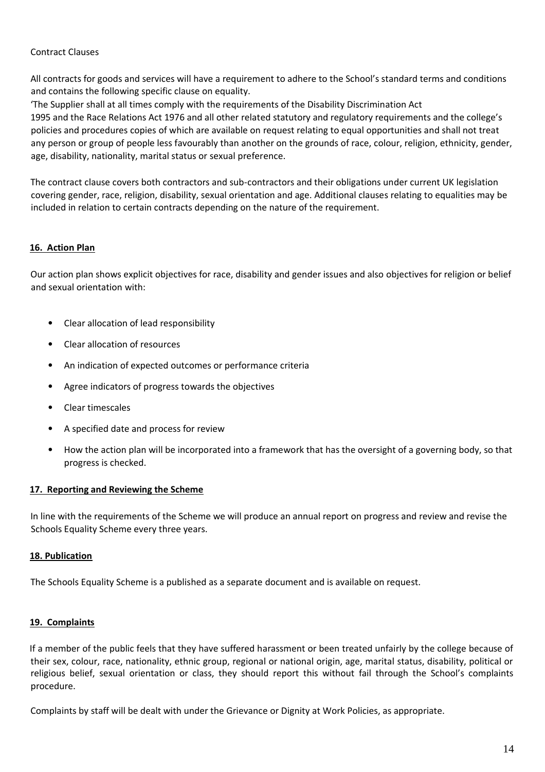#### Contract Clauses

All contracts for goods and services will have a requirement to adhere to the School's standard terms and conditions and contains the following specific clause on equality.

'The Supplier shall at all times comply with the requirements of the Disability Discrimination Act 1995 and the Race Relations Act 1976 and all other related statutory and regulatory requirements and the college's policies and procedures copies of which are available on request relating to equal opportunities and shall not treat any person or group of people less favourably than another on the grounds of race, colour, religion, ethnicity, gender, age, disability, nationality, marital status or sexual preference.

The contract clause covers both contractors and sub-contractors and their obligations under current UK legislation covering gender, race, religion, disability, sexual orientation and age. Additional clauses relating to equalities may be included in relation to certain contracts depending on the nature of the requirement.

#### **16. Action Plan**

Our action plan shows explicit objectives for race, disability and gender issues and also objectives for religion or belief and sexual orientation with:

- Clear allocation of lead responsibility
- Clear allocation of resources
- An indication of expected outcomes or performance criteria
- Agree indicators of progress towards the objectives
- Clear timescales
- A specified date and process for review
- How the action plan will be incorporated into a framework that has the oversight of a governing body, so that progress is checked.

#### **17. Reporting and Reviewing the Scheme**

In line with the requirements of the Scheme we will produce an annual report on progress and review and revise the Schools Equality Scheme every three years.

#### **18. Publication**

The Schools Equality Scheme is a published as a separate document and is available on request.

#### **19. Complaints**

If a member of the public feels that they have suffered harassment or been treated unfairly by the college because of their sex, colour, race, nationality, ethnic group, regional or national origin, age, marital status, disability, political or religious belief, sexual orientation or class, they should report this without fail through the School's complaints procedure.

Complaints by staff will be dealt with under the Grievance or Dignity at Work Policies, as appropriate.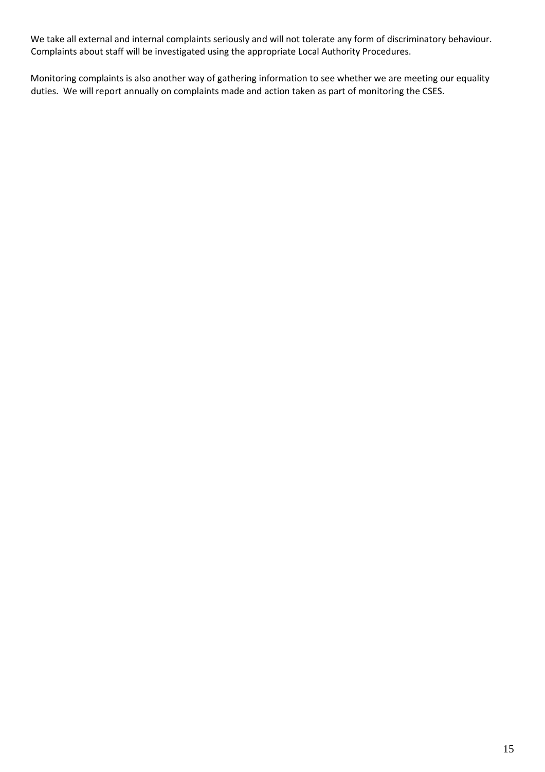We take all external and internal complaints seriously and will not tolerate any form of discriminatory behaviour. Complaints about staff will be investigated using the appropriate Local Authority Procedures.

Monitoring complaints is also another way of gathering information to see whether we are meeting our equality duties. We will report annually on complaints made and action taken as part of monitoring the CSES.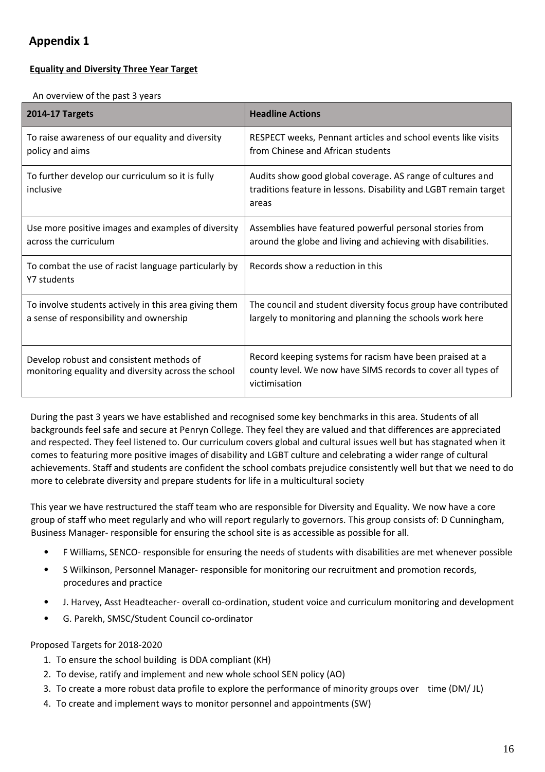## **Appendix 1**

## **Equality and Diversity Three Year Target**

#### An overview of the past 3 years

| <b>2014-17 Targets</b>                                                                           | <b>Headline Actions</b>                                                                                                                   |
|--------------------------------------------------------------------------------------------------|-------------------------------------------------------------------------------------------------------------------------------------------|
| To raise awareness of our equality and diversity<br>policy and aims                              | RESPECT weeks, Pennant articles and school events like visits<br>from Chinese and African students                                        |
| To further develop our curriculum so it is fully<br>inclusive                                    | Audits show good global coverage. AS range of cultures and<br>traditions feature in lessons. Disability and LGBT remain target<br>areas   |
| Use more positive images and examples of diversity<br>across the curriculum                      | Assemblies have featured powerful personal stories from<br>around the globe and living and achieving with disabilities.                   |
| To combat the use of racist language particularly by<br>Y7 students                              | Records show a reduction in this                                                                                                          |
| To involve students actively in this area giving them<br>a sense of responsibility and ownership | The council and student diversity focus group have contributed<br>largely to monitoring and planning the schools work here                |
| Develop robust and consistent methods of<br>monitoring equality and diversity across the school  | Record keeping systems for racism have been praised at a<br>county level. We now have SIMS records to cover all types of<br>victimisation |

During the past 3 years we have established and recognised some key benchmarks in this area. Students of all backgrounds feel safe and secure at Penryn College. They feel they are valued and that differences are appreciated and respected. They feel listened to. Our curriculum covers global and cultural issues well but has stagnated when it comes to featuring more positive images of disability and LGBT culture and celebrating a wider range of cultural achievements. Staff and students are confident the school combats prejudice consistently well but that we need to do more to celebrate diversity and prepare students for life in a multicultural society

This year we have restructured the staff team who are responsible for Diversity and Equality. We now have a core group of staff who meet regularly and who will report regularly to governors. This group consists of: D Cunningham, Business Manager- responsible for ensuring the school site is as accessible as possible for all.

- F Williams, SENCO- responsible for ensuring the needs of students with disabilities are met whenever possible
- S Wilkinson, Personnel Manager- responsible for monitoring our recruitment and promotion records, procedures and practice
- J. Harvey, Asst Headteacher- overall co-ordination, student voice and curriculum monitoring and development
- G. Parekh, SMSC/Student Council co-ordinator

#### Proposed Targets for 2018-2020

- 1. To ensure the school building is DDA compliant (KH)
- 2. To devise, ratify and implement and new whole school SEN policy (AO)
- 3. To create a more robust data profile to explore the performance of minority groups over time (DM/ JL)
- 4. To create and implement ways to monitor personnel and appointments (SW)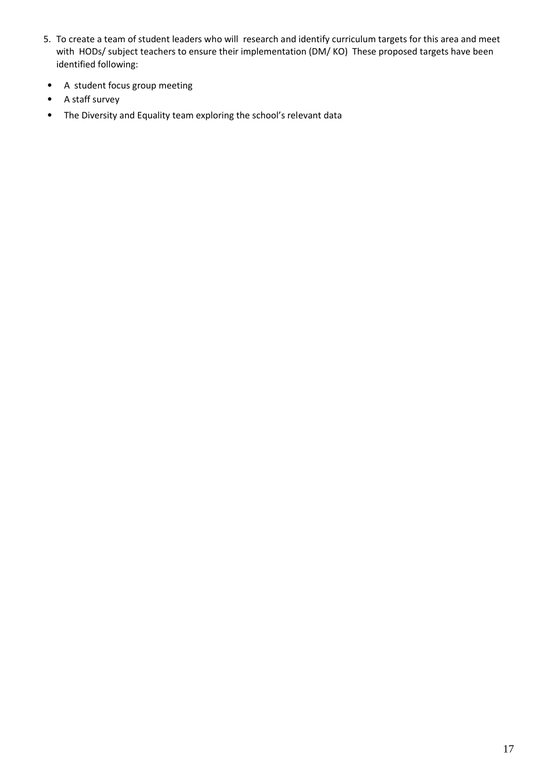- 5. To create a team of student leaders who will research and identify curriculum targets for this area and meet with HODs/ subject teachers to ensure their implementation (DM/ KO) These proposed targets have been identified following:
- A student focus group meeting
- A staff survey
- The Diversity and Equality team exploring the school's relevant data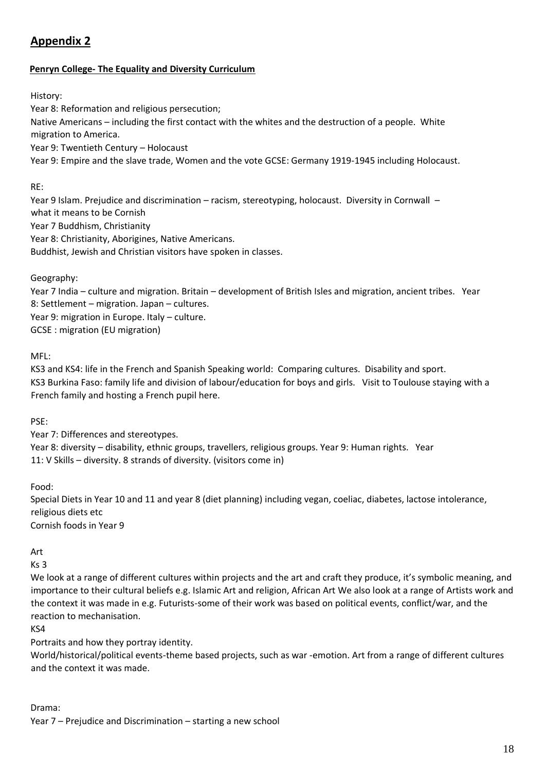## **Appendix 2**

### **Penryn College- The Equality and Diversity Curriculum**

History:

Year 8: Reformation and religious persecution; Native Americans – including the first contact with the whites and the destruction of a people. White migration to America. Year 9: Twentieth Century – Holocaust

Year 9: Empire and the slave trade, Women and the vote GCSE: Germany 1919-1945 including Holocaust.

#### RE:

Year 9 Islam. Prejudice and discrimination – racism, stereotyping, holocaust. Diversity in Cornwall – what it means to be Cornish Year 7 Buddhism, Christianity Year 8: Christianity, Aborigines, Native Americans. Buddhist, Jewish and Christian visitors have spoken in classes.

Geography:

Year 7 India – culture and migration. Britain – development of British Isles and migration, ancient tribes. Year 8: Settlement – migration. Japan – cultures. Year 9: migration in Europe. Italy – culture. GCSE : migration (EU migration)

MFL:

KS3 and KS4: life in the French and Spanish Speaking world: Comparing cultures. Disability and sport. KS3 Burkina Faso: family life and division of labour/education for boys and girls. Visit to Toulouse staying with a French family and hosting a French pupil here.

PSE:

Year 7: Differences and stereotypes. Year 8: diversity – disability, ethnic groups, travellers, religious groups. Year 9: Human rights. Year 11: V Skills – diversity. 8 strands of diversity. (visitors come in)

Food:

Special Diets in Year 10 and 11 and year 8 (diet planning) including vegan, coeliac, diabetes, lactose intolerance, religious diets etc Cornish foods in Year 9

Art

 $Ks<sub>3</sub>$ 

We look at a range of different cultures within projects and the art and craft they produce, it's symbolic meaning, and importance to their cultural beliefs e.g. Islamic Art and religion, African Art We also look at a range of Artists work and the context it was made in e.g. Futurists-some of their work was based on political events, conflict/war, and the reaction to mechanisation.

KS4

Portraits and how they portray identity.

World/historical/political events-theme based projects, such as war -emotion. Art from a range of different cultures and the context it was made.